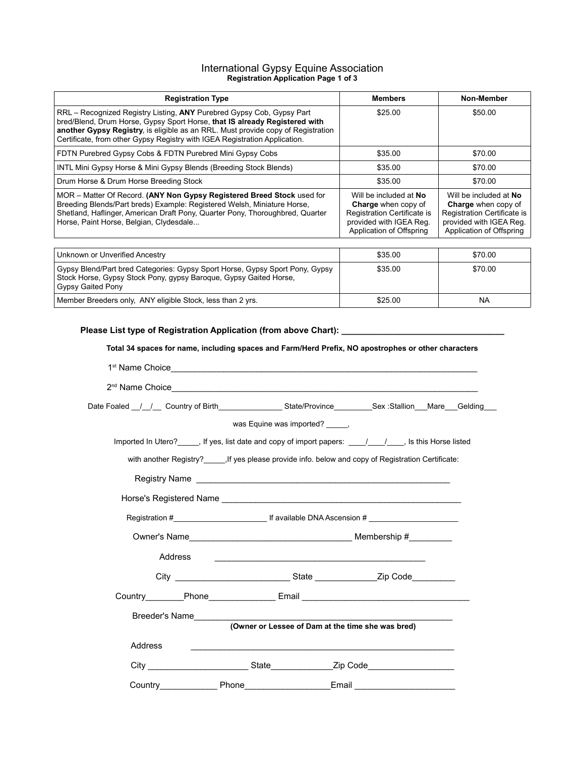## International Gypsy Equine Association **Registration Application Page 1 of 3**

| <b>Registration Type</b>                                                                                                                                                                                                                                                                                              | <b>Members</b>                                                                                                                              | Non-Member                                                                                                                          |
|-----------------------------------------------------------------------------------------------------------------------------------------------------------------------------------------------------------------------------------------------------------------------------------------------------------------------|---------------------------------------------------------------------------------------------------------------------------------------------|-------------------------------------------------------------------------------------------------------------------------------------|
| RRL - Recognized Registry Listing, ANY Purebred Gypsy Cob, Gypsy Part<br>bred/Blend, Drum Horse, Gypsy Sport Horse, that IS already Registered with<br>another Gypsy Registry, is eligible as an RRL. Must provide copy of Registration<br>Certificate, from other Gypsy Registry with IGEA Registration Application. | \$25.00                                                                                                                                     | \$50.00                                                                                                                             |
| FDTN Purebred Gypsy Cobs & FDTN Purebred Mini Gypsy Cobs                                                                                                                                                                                                                                                              | \$35.00                                                                                                                                     | \$70.00                                                                                                                             |
| INTL Mini Gypsy Horse & Mini Gypsy Blends (Breeding Stock Blends)                                                                                                                                                                                                                                                     | \$35.00                                                                                                                                     | \$70.00                                                                                                                             |
| Drum Horse & Drum Horse Breeding Stock                                                                                                                                                                                                                                                                                | \$35.00                                                                                                                                     | \$70.00                                                                                                                             |
| MOR - Matter Of Record. (ANY Non Gypsy Registered Breed Stock used for<br>Breeding Blends/Part breds) Example: Registered Welsh, Miniature Horse,<br>Shetland, Haflinger, American Draft Pony, Quarter Pony, Thoroughbred, Quarter<br>Horse, Paint Horse, Belgian, Clydesdale                                         | Will be included at No.<br>Charge when copy of<br><b>Registration Certificate is</b><br>provided with IGEA Req.<br>Application of Offspring | Will be included at No<br>Charge when copy of<br>Registration Certificate is<br>provided with IGEA Req.<br>Application of Offspring |

| Unknown or Unverified Ancestry                                                                                                                                                | \$35.00 | \$70.00 |
|-------------------------------------------------------------------------------------------------------------------------------------------------------------------------------|---------|---------|
| Gypsy Blend/Part bred Categories: Gypsy Sport Horse, Gypsy Sport Pony, Gypsy<br>Stock Horse, Gypsy Stock Pony, gypsy Baroque, Gypsy Gaited Horse,<br><b>Gypsy Gaited Pony</b> | \$35.00 | \$70.00 |
| Member Breeders only, ANY eligible Stock, less than 2 yrs.                                                                                                                    | \$25.00 | NA      |

**Please List type of Registration Application (from above Chart): \_\_\_\_\_\_\_\_\_\_\_\_\_\_\_\_\_\_\_\_\_\_\_\_\_\_\_\_\_\_\_\_\_\_**

**Total 34 spaces for name, including spaces and Farm/Herd Prefix, NO apostrophes or other characters**

|                                                                                                                 |         |  | was Equine was imported? , |                                                                                               |  |
|-----------------------------------------------------------------------------------------------------------------|---------|--|----------------------------|-----------------------------------------------------------------------------------------------|--|
| Imported In Utero? $\Box$ , If yes, list date and copy of import papers: $\Box$ / $\Box$ , Is this Horse listed |         |  |                            |                                                                                               |  |
|                                                                                                                 |         |  |                            | with another Registry? flyes please provide info. below and copy of Registration Certificate: |  |
|                                                                                                                 |         |  |                            |                                                                                               |  |
|                                                                                                                 |         |  |                            |                                                                                               |  |
|                                                                                                                 |         |  |                            |                                                                                               |  |
|                                                                                                                 |         |  |                            |                                                                                               |  |
|                                                                                                                 | Address |  |                            |                                                                                               |  |
|                                                                                                                 |         |  |                            |                                                                                               |  |
|                                                                                                                 |         |  |                            |                                                                                               |  |
|                                                                                                                 |         |  |                            |                                                                                               |  |
|                                                                                                                 |         |  |                            | (Owner or Lessee of Dam at the time she was bred)                                             |  |
| Address                                                                                                         |         |  |                            |                                                                                               |  |
|                                                                                                                 |         |  |                            |                                                                                               |  |
|                                                                                                                 |         |  |                            | Country Phone Phone <b>Email</b>                                                              |  |
|                                                                                                                 |         |  |                            |                                                                                               |  |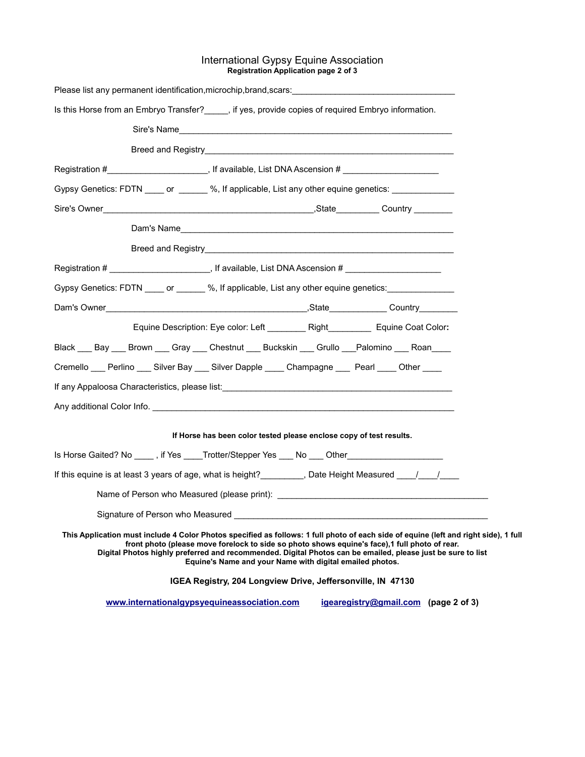## International Gypsy Equine Association **Registration Application page 2 of 3**

| Is this Horse from an Embryo Transfer?<br>if yes, provide copies of required Embryo information.                                                                                                                                                                                                                                                                                                                 |
|------------------------------------------------------------------------------------------------------------------------------------------------------------------------------------------------------------------------------------------------------------------------------------------------------------------------------------------------------------------------------------------------------------------|
|                                                                                                                                                                                                                                                                                                                                                                                                                  |
|                                                                                                                                                                                                                                                                                                                                                                                                                  |
| Registration #_______________________, If available, List DNA Ascension # ____________________                                                                                                                                                                                                                                                                                                                   |
| Gypsy Genetics: FDTN _____ or _______ %, If applicable, List any other equine genetics: ___________                                                                                                                                                                                                                                                                                                              |
|                                                                                                                                                                                                                                                                                                                                                                                                                  |
|                                                                                                                                                                                                                                                                                                                                                                                                                  |
|                                                                                                                                                                                                                                                                                                                                                                                                                  |
| Registration # _________________________, If available, List DNA Ascension # ______________________                                                                                                                                                                                                                                                                                                              |
| Gypsy Genetics: FDTN ____ or ______ %, If applicable, List any other equine genetics: ____________                                                                                                                                                                                                                                                                                                               |
|                                                                                                                                                                                                                                                                                                                                                                                                                  |
| Equine Description: Eye color: Left __________ Right __________ Equine Coat Color:                                                                                                                                                                                                                                                                                                                               |
| Black ___ Bay ___ Brown ___ Gray ___ Chestnut ___ Buckskin ___ Grullo ___Palomino ___ Roan____                                                                                                                                                                                                                                                                                                                   |
| Cremello Perlino Silver Bay Silver Dapple Champagne Pearl Other                                                                                                                                                                                                                                                                                                                                                  |
|                                                                                                                                                                                                                                                                                                                                                                                                                  |
|                                                                                                                                                                                                                                                                                                                                                                                                                  |
|                                                                                                                                                                                                                                                                                                                                                                                                                  |
| If Horse has been color tested please enclose copy of test results.                                                                                                                                                                                                                                                                                                                                              |
| Is Horse Gaited? No ____, if Yes ____Trotter/Stepper Yes ___ No ___ Other_________________                                                                                                                                                                                                                                                                                                                       |
| If this equine is at least 3 years of age, what is height?_________, Date Height Measured ____/____/                                                                                                                                                                                                                                                                                                             |
|                                                                                                                                                                                                                                                                                                                                                                                                                  |
| Signature of Person who Measured _                                                                                                                                                                                                                                                                                                                                                                               |
| This Application must include 4 Color Photos specified as follows: 1 full photo of each side of equine (left and right side), 1 full<br>front photo (please move forelock to side so photo shows equine's face),1 full photo of rear.<br>Digital Photos highly preferred and recommended. Digital Photos can be emailed, please just be sure to list<br>Equine's Name and your Name with digital emailed photos. |
| IGEA Registry, 204 Longview Drive, Jeffersonville, IN 47130                                                                                                                                                                                                                                                                                                                                                      |

**[www.internationalgypsyequineassociation.com](http://www.internationalgypsyequineassociation.com/) [igearegistry@gmail.com](mailto:igearegistry@gmail.com) (page 2 of 3)**